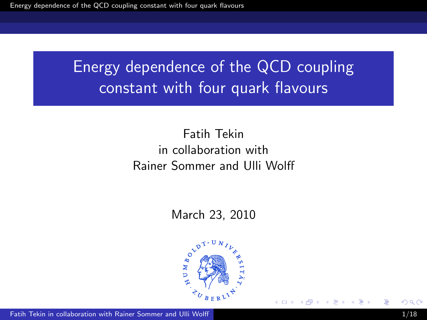#### Fatih Tekin in collaboration with Rainer Sommer and Ulli Wolff

#### March 23, 2010

<span id="page-0-0"></span>

Fatih Tekin in collaboration with Rainer Sommer and Ulli Wolff 1/18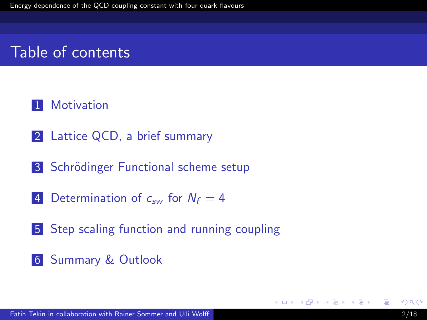## Table of contents

#### 1 [Motivation](#page-2-0)

- 2 [Lattice QCD, a brief summary](#page-2-0)
- 3 Schrödinger Functional scheme setup
- 4 [Determination of](#page-4-0)  $c_{sw}$  for  $N_f = 4$
- 5 [Step scaling function and running coupling](#page-9-0)
- 6 [Summary & Outlook](#page-17-0)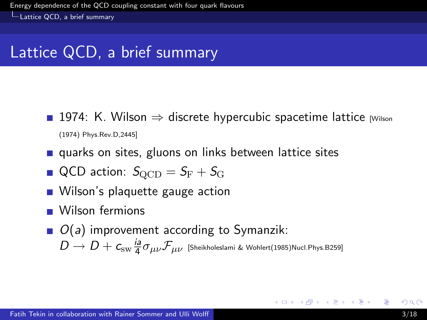Lattice QCD, a brief summary

## Lattice QCD, a brief summary

- 1974: K. Wilson  $\Rightarrow$  discrete hypercubic spacetime lattice  $\mu$  Milson (1974) Phys.Rev.D,2445]
- quarks on sites, gluons on links between lattice sites
- $\blacksquare$  QCD action:  $S_{\text{QCD}} = S_{\text{F}} + S_{\text{G}}$
- **Nilson's plaquette gauge action**
- Wilson fermions
- <span id="page-2-0"></span> $\Box$   $O(a)$  improvement according to Symanzik:  $D \rightarrow D + c_{\rm sw} \frac{\hbar a}{4}$  $\frac{d\mathsf{a}}{4}\sigma_{\mu\nu}\mathcal{F}_{\mu\nu}$  [Sheikholeslami & Wohlert(1985)Nucl.Phys.B259]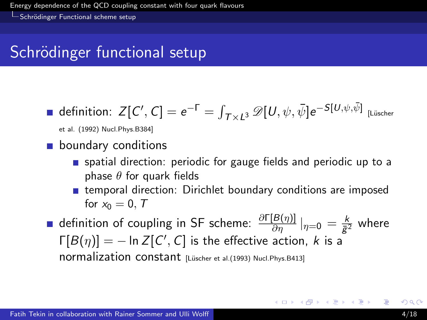$\overline{\phantom{a}}$ Schrödinger Functional scheme setup

# Schrödinger functional setup

$$
\blacksquare \ \mathsf{definition} \colon Z[\mathcal{C}',\mathcal{C}] = e^{-\Gamma} = \smallint_{\mathcal{T}\times \mathcal{L}^3}\mathscr{D}[\mathcal{U},\psi,\bar{\psi}]e^{-S[\mathcal{U},\psi,\bar{\psi}]} \; \text{Lüscher}
$$

et al. (1992) Nucl.Phys.B384]

#### **boundary conditions**

- spatial direction: periodic for gauge fields and periodic up to a phase  $\theta$  for quark fields
- <span id="page-3-0"></span>**EXT** temporal direction: Dirichlet boundary conditions are imposed for  $x_0 = 0$ , T
- definition of coupling in SF scheme:  $\frac{\partial \Gamma[B(\eta)]}{\partial \eta}|_{\eta=0}=\frac{k}{\bar{g}^2}$  $\frac{\kappa}{\bar{g}^2}$  where  $\Gamma[B(\eta)]=-$  ln  $Z[C',C]$  is the effective action, k is a normalization constant [Lüscher et al.(1993) Nucl.Phys.B413]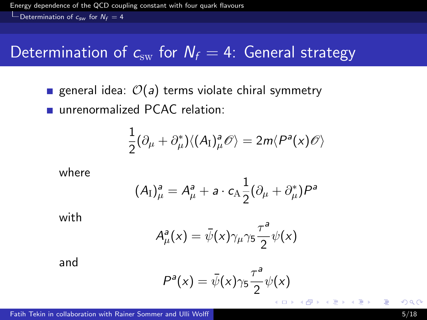$\Box$  Determination of  $c_{sw}$  for  $N_f = 4$ 

## Determination of  $c_{sw}$  for  $N_f = 4$ : General strategy

general idea:  $\mathcal{O}(a)$  terms violate chiral symmetry unrenormalized PCAC relation:

$$
\frac{1}{2}(\partial_{\mu}+\partial_{\mu}^{*})\langle (A_{I})_{\mu}^{a}\mathscr{O}\rangle=2m\langle P^{a}(x)\mathscr{O}\rangle
$$

where

$$
(A_{\rm I})^{\mathsf{a}}_{\mu} = A^{\mathsf{a}}_{\mu} + \mathsf{a} \cdot c_{\rm A} \frac{1}{2} (\partial_{\mu} + \partial_{\mu}^*) P^{\mathsf{a}}
$$

with

$$
A^a_\mu(x) = \bar{\psi}(x)\gamma_\mu\gamma_5\frac{\tau^a}{2}\psi(x)
$$

and

<span id="page-4-0"></span>
$$
P^{a}(x) = \bar{\psi}(x)\gamma_{5}\frac{\tau^{a}}{2}\psi(x)
$$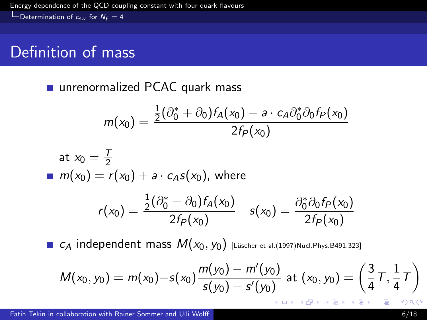$\Box$  Determination of  $c_{sw}$  for  $N_f = 4$ 

## Definition of mass

unrenormalized PCAC quark mass

$$
m(x_0)=\frac{\frac{1}{2}(\partial_0^*+\partial_0)f_A(x_0)+a\cdot c_A\partial_0^*\partial_0f_P(x_0)}{2f_P(x_0)}
$$

at 
$$
x_0 = \frac{T}{2}
$$
  
\n
$$
m(x_0) = r(x_0) + a \cdot c_A s(x_0), \text{ where}
$$
\n
$$
r(x_0) = \frac{\frac{1}{2}(\partial_0^* + \partial_0) f_A(x_0)}{2f_P(x_0)} \quad s(x_0) = \frac{\partial_0^* \partial_0 f_P(x_0)}{2f_P(x_0)}
$$

■  $c_A$  independent mass  $M(x_0, y_0)$  [Lüscher et al.(1997)Nucl.Phys.B491:323]

$$
M(x_0, y_0) = m(x_0) - s(x_0) \frac{m(y_0) - m'(y_0)}{s(y_0) - s'(y_0)} \text{ at } (x_0, y_0) = \left(\frac{3}{4}\tau, \frac{1}{4}\tau\right)
$$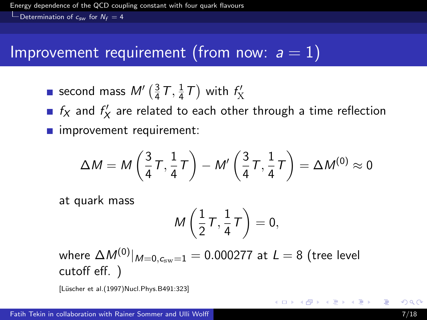$\Box$  Determination of  $c_{sw}$  for  $N_f = 4$ 

### Improvement requirement (from now:  $a = 1$ )

second mass  $M'\left(\frac{3}{4}\right)$  $\frac{3}{4}$  T,  $\frac{1}{4}$  $\frac{1}{4}$ T) with  $f'_{\text{X}}$ 

 $f_X$  and  $f'_X$  are related to each other through a time reflection **n** improvement requirement:

$$
\Delta M = M\left(\frac{3}{4}T,\frac{1}{4}T\right) - M'\left(\frac{3}{4}T,\frac{1}{4}T\right) = \Delta M^{(0)} \approx 0
$$

at quark mass

$$
M\left(\frac{1}{2}\,\mathcal{T},\frac{1}{4}\,\mathcal{T}\right)=0,
$$

where  $\Delta M^{(0)}|_{M=0.c_{\text{sw}}=1} = 0.000277$  at  $L = 8$  (tree level cutoff eff. )

[L¨uscher et al.(1997)Nucl.Phys.B491:323]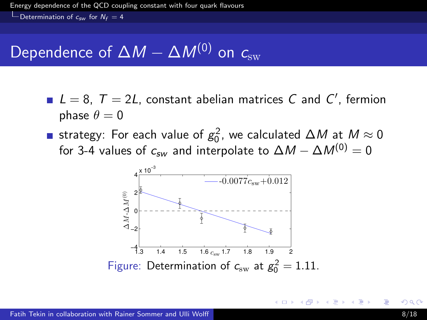$\Box$  Determination of  $c_{sw}$  for  $N_f = 4$ 

## Dependence of  $\Delta M - \Delta M^{(0)}$  on  $c_{sw}$

- $L = 8$ ,  $T = 2L$ , constant abelian matrices C and C', fermion phase  $\theta = 0$
- strategy: For each value of  $g_0^2$ , we calculated  $\Delta M$  at  $M\approx 0$ for 3-4 values of  $c_{sw}$  and interpolate to  $\Delta M - \Delta M^{(0)} = 0$

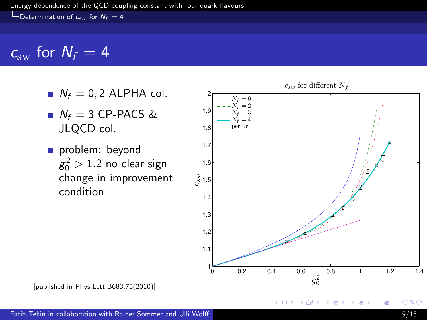Determination of  $c_{sw}$  for  $N_f = 4$ 

## $c_{sw}$  for  $N_f = 4$

- $N_f = 0, 2$  ALPHA col.
- $N_f = 3$  CP-PACS & JLQCD col.
- problem: beyond  $g_0^2 > 1.2$  no clear sign change in improvement condition



 $\sim$ 

4日)

[published in Phys.Lett.B683:75(2010)]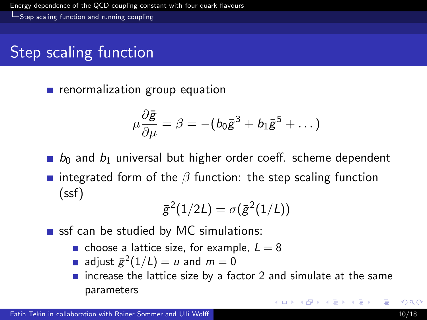Step scaling function and running coupling

## Step scaling function

**n** renormalization group equation

$$
\mu \frac{\partial \bar{g}}{\partial \mu} = \beta = -(b_0 \bar{g}^3 + b_1 \bar{g}^5 + \dots)
$$

- $b_0$  and  $b_1$  universal but higher order coeff. scheme dependent
- **n** integrated form of the  $\beta$  function: the step scaling function (ssf)

<span id="page-9-0"></span>
$$
\bar{g}^2(1/2L) = \sigma(\bar{g}^2(1/L))
$$

ssf can be studied by MC simulations:

- choose a lattice size, for example,  $L = 8$
- adjust  $\bar{g}^2(1/L) = u$  and  $m = 0$
- $\blacksquare$  increase the lattice size by a factor 2 and simulate at the same parameters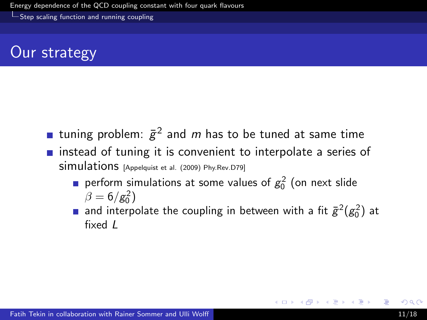Step scaling function and running coupling

## Our strategy

- tuning problem:  $\bar{g}^2$  and  $m$  has to be tuned at same time
- **n** instead of tuning it is convenient to interpolate a series of simulations [Appelquist et al. (2009) Phy.Rev.D79]
	- perform simulations at some values of  $g_0^2$  (on next slide  $\beta = 6/g_0^2$
	- and interpolate the coupling in between with a fit  $\bar{g}^2(g_0^2)$  at fixed  $\overline{I}$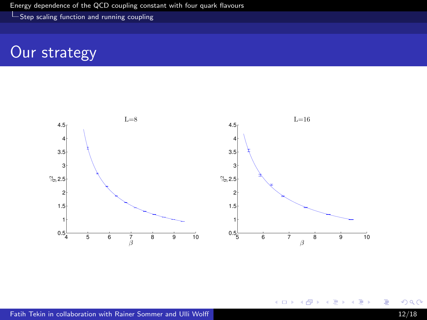Step scaling function and running coupling

## Our strategy



È

∍

**K ロ ▶ K 何 ▶** 

∍

×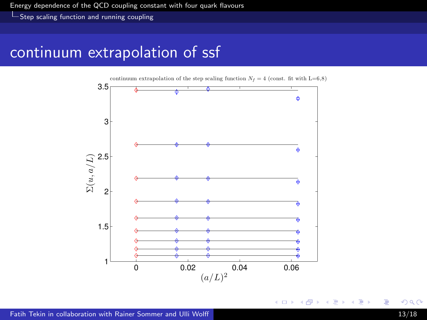**L** Step scaling function and running coupling

### continuum extrapolation of ssf



4 0 8 ∢母  $\sim$ 

∍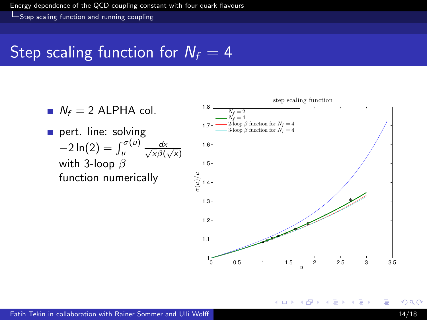**L** Step scaling function and running coupling

## Step scaling function for  $N_f = 4$



4日)

 $\sim$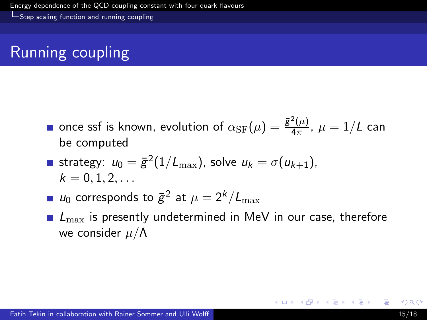Step scaling function and running coupling

# Running coupling

- once ssf is known, evolution of  $\alpha_{\rm SF}(\mu) = \frac{\bar g^2(\mu)}{4\pi}$  $\frac{(\mu)}{4\pi}$ ,  $\mu = 1/L$  can be computed
- strategy:  $u_0 = \bar{\mathcal{g}}^2(1/L_{\max})$ , solve  $u_k = \sigma(u_{k+1})$ ,  $k = 0, 1, 2, \ldots$
- $u_0$  corresponds to  $\bar{g}^2$  at  $\mu = 2^k/L_{\max}$
- $\blacksquare$   $L_{\text{max}}$  is presently undetermined in MeV in our case, therefore we consider  $\mu/\Lambda$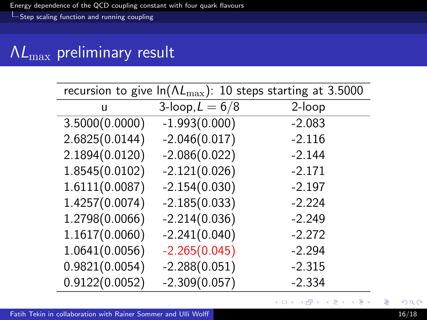Step scaling function and running coupling

# $\Lambda L_{\rm max}$  preliminary result

| recursion to give $ln(\Lambda L_{\text{max}})$ : 10 steps starting at 3.5000 |                   |          |
|------------------------------------------------------------------------------|-------------------|----------|
| u                                                                            | 3-loop, $L = 6/8$ | 2-loop   |
| 3.5000(0.0000)                                                               | $-1.993(0.000)$   | $-2.083$ |
| 2.6825(0.0144)                                                               | $-2.046(0.017)$   | $-2.116$ |
| 2.1894(0.0120)                                                               | $-2.086(0.022)$   | $-2.144$ |
| 1.8545(0.0102)                                                               | $-2.121(0.026)$   | $-2.171$ |
| 1.6111(0.0087)                                                               | $-2.154(0.030)$   | $-2.197$ |
| 1.4257(0.0074)                                                               | $-2.185(0.033)$   | $-2.224$ |
| 1.2798(0.0066)                                                               | $-2.214(0.036)$   | $-2.249$ |
| 1.1617(0.0060)                                                               | $-2.241(0.040)$   | $-2.272$ |
| 1.0641(0.0056)                                                               | $-2.265(0.045)$   | $-2.294$ |
| 0.9821(0.0054)                                                               | $-2.288(0.051)$   | $-2.315$ |
| 0.9122(0.0052)                                                               | $-2.309(0.057)$   | $-2.334$ |

目

イロメ イ部メ イミメ イモメ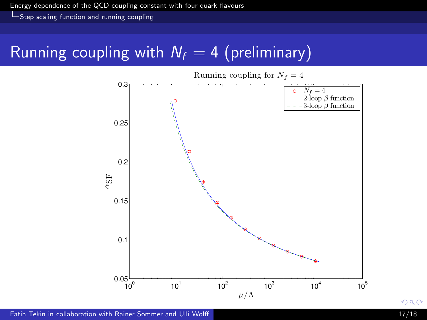**L** Step scaling function and running coupling

## Running coupling with  $N_f = 4$  (preliminary)



<span id="page-16-0"></span>Fatih Tekin in collaboration with Rainer Sommer and Ulli Wolff 17/18